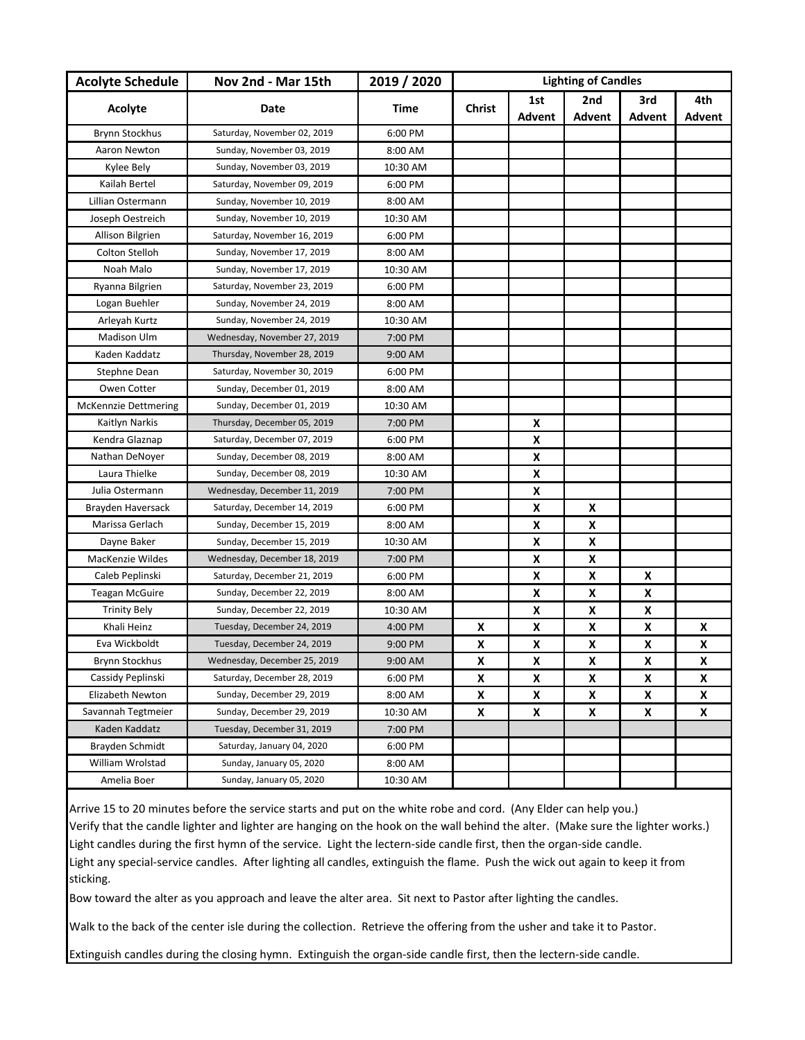| <b>Acolyte Schedule</b>     | Nov 2nd - Mar 15th           | 2019 / 2020 | <b>Lighting of Candles</b> |        |               |        |        |
|-----------------------------|------------------------------|-------------|----------------------------|--------|---------------|--------|--------|
| Acolyte                     | Date                         | Time        | <b>Christ</b>              | 1st    | 2nd           | 3rd    | 4th    |
|                             |                              |             |                            | Advent | <b>Advent</b> | Advent | Advent |
| <b>Brynn Stockhus</b>       | Saturday, November 02, 2019  | 6:00 PM     |                            |        |               |        |        |
| Aaron Newton                | Sunday, November 03, 2019    | 8:00 AM     |                            |        |               |        |        |
| Kylee Bely                  | Sunday, November 03, 2019    | 10:30 AM    |                            |        |               |        |        |
| Kailah Bertel               | Saturday, November 09, 2019  | 6:00 PM     |                            |        |               |        |        |
| Lillian Ostermann           | Sunday, November 10, 2019    | 8:00 AM     |                            |        |               |        |        |
| Joseph Oestreich            | Sunday, November 10, 2019    | 10:30 AM    |                            |        |               |        |        |
| Allison Bilgrien            | Saturday, November 16, 2019  | 6:00 PM     |                            |        |               |        |        |
| Colton Stelloh              | Sunday, November 17, 2019    | 8:00 AM     |                            |        |               |        |        |
| Noah Malo                   | Sunday, November 17, 2019    | 10:30 AM    |                            |        |               |        |        |
| Ryanna Bilgrien             | Saturday, November 23, 2019  | 6:00 PM     |                            |        |               |        |        |
| Logan Buehler               | Sunday, November 24, 2019    | 8:00 AM     |                            |        |               |        |        |
| Arleyah Kurtz               | Sunday, November 24, 2019    | 10:30 AM    |                            |        |               |        |        |
| Madison Ulm                 | Wednesday, November 27, 2019 | 7:00 PM     |                            |        |               |        |        |
| Kaden Kaddatz               | Thursday, November 28, 2019  | 9:00 AM     |                            |        |               |        |        |
| Stephne Dean                | Saturday, November 30, 2019  | 6:00 PM     |                            |        |               |        |        |
| Owen Cotter                 | Sunday, December 01, 2019    | 8:00 AM     |                            |        |               |        |        |
| <b>McKennzie Dettmering</b> | Sunday, December 01, 2019    | 10:30 AM    |                            |        |               |        |        |
| Kaitlyn Narkis              | Thursday, December 05, 2019  | 7:00 PM     |                            | X      |               |        |        |
| Kendra Glaznap              | Saturday, December 07, 2019  | 6:00 PM     |                            | X      |               |        |        |
| Nathan DeNoyer              | Sunday, December 08, 2019    | 8:00 AM     |                            | X      |               |        |        |
| Laura Thielke               | Sunday, December 08, 2019    | 10:30 AM    |                            | X      |               |        |        |
| Julia Ostermann             | Wednesday, December 11, 2019 | 7:00 PM     |                            | X      |               |        |        |
| Brayden Haversack           | Saturday, December 14, 2019  | 6:00 PM     |                            | X      | X             |        |        |
| Marissa Gerlach             | Sunday, December 15, 2019    | 8:00 AM     |                            | X      | X             |        |        |
| Dayne Baker                 | Sunday, December 15, 2019    | 10:30 AM    |                            | X      | X             |        |        |
| MacKenzie Wildes            | Wednesday, December 18, 2019 | 7:00 PM     |                            | X      | X             |        |        |
| Caleb Peplinski             | Saturday, December 21, 2019  | 6:00 PM     |                            | X      | X             | X      |        |
| <b>Teagan McGuire</b>       | Sunday, December 22, 2019    | 8:00 AM     |                            | X      | X             | X      |        |
| <b>Trinity Bely</b>         | Sunday, December 22, 2019    | 10:30 AM    |                            | X      | X             | X      |        |
| Khali Heinz                 | Tuesday, December 24, 2019   | 4:00 PM     | X                          | X      | X             | X      | X      |
| Eva Wickboldt               | Tuesday, December 24, 2019   | 9:00 PM     | X                          | X      | X             | X      | X      |
| Brynn Stockhus              | Wednesday, December 25, 2019 | 9:00 AM     | $\pmb{\mathsf{X}}$         | X      | X             | X      | X      |
| Cassidy Peplinski           | Saturday, December 28, 2019  | 6:00 PM     | X                          | X      | X             | X      | X      |
| Elizabeth Newton            | Sunday, December 29, 2019    | 8:00 AM     | X                          | X      | X             | X      | X      |
| Savannah Tegtmeier          | Sunday, December 29, 2019    | 10:30 AM    | X                          | X      | X             | X      | X      |
| Kaden Kaddatz               | Tuesday, December 31, 2019   | 7:00 PM     |                            |        |               |        |        |
| Brayden Schmidt             | Saturday, January 04, 2020   | 6:00 PM     |                            |        |               |        |        |
| William Wrolstad            | Sunday, January 05, 2020     | 8:00 AM     |                            |        |               |        |        |
| Amelia Boer                 | Sunday, January 05, 2020     | 10:30 AM    |                            |        |               |        |        |

Arrive 15 to 20 minutes before the service starts and put on the white robe and cord. (Any Elder can help you.) Verify that the candle lighter and lighter are hanging on the hook on the wall behind the alter. (Make sure the lighter works.) Light candles during the first hymn of the service. Light the lectern-side candle first, then the organ-side candle. Light any special-service candles. After lighting all candles, extinguish the flame. Push the wick out again to keep it from sticking.

Bow toward the alter as you approach and leave the alter area. Sit next to Pastor after lighting the candles.

Walk to the back of the center isle during the collection. Retrieve the offering from the usher and take it to Pastor.

Extinguish candles during the closing hymn. Extinguish the organ-side candle first, then the lectern-side candle.